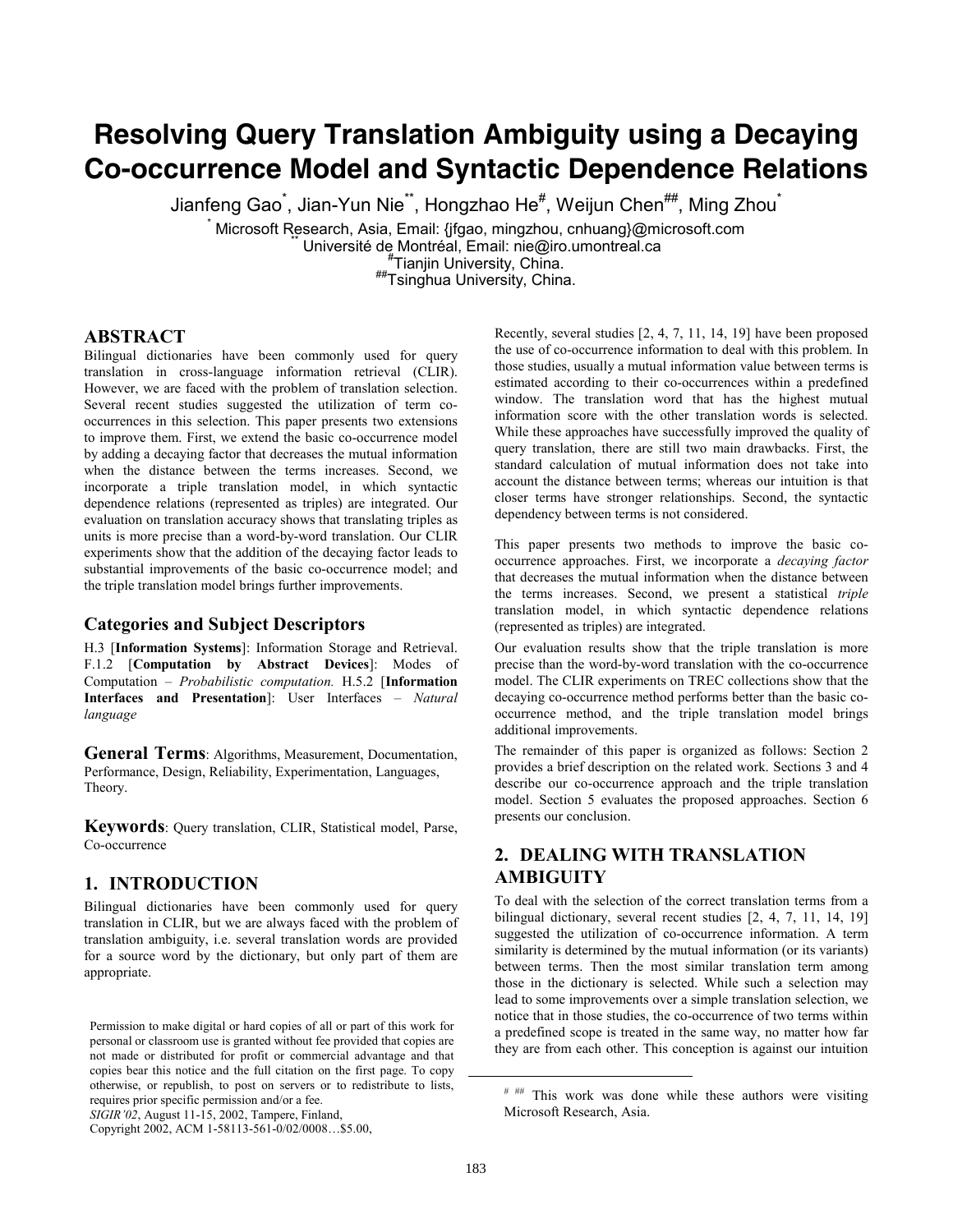# **Resolving Query Translation Ambiguity using a Decaying Co-occurrence Model and Syntactic Dependence Relations**

Jianfeng Gao<sup>\*</sup>, Jian-Yun Nie<sup>\*\*</sup>, Hongzhao He<sup>#</sup>, Weijun Chen<sup>##</sup>, Ming Zhou<sup>\*</sup>

\* Microsoft Research, Asia, Email: {jfgao, mingzhou, cnhuang}@microsoft.com<br>
Université de Montréal, Email: nie@iro.umontreal.ca # Tianjin University, China.

##Tsinghua University, China.

## **ABSTRACT**

Bilingual dictionaries have been commonly used for query translation in cross-language information retrieval (CLIR). However, we are faced with the problem of translation selection. Several recent studies suggested the utilization of term cooccurrences in this selection. This paper presents two extensions to improve them. First, we extend the basic co-occurrence model by adding a decaying factor that decreases the mutual information when the distance between the terms increases. Second, we incorporate a triple translation model, in which syntactic dependence relations (represented as triples) are integrated. Our evaluation on translation accuracy shows that translating triples as units is more precise than a word-by-word translation. Our CLIR experiments show that the addition of the decaying factor leads to substantial improvements of the basic co-occurrence model; and the triple translation model brings further improvements.

### **Categories and Subject Descriptors**

H.3 [**Information Systems**]: Information Storage and Retrieval. F.1.2 [**Computation by Abstract Devices**]: Modes of Computation – *Probabilistic computation.* H.5.2 [**Information Interfaces and Presentation**]: User Interfaces – *Natural language* 

**General Terms**: Algorithms, Measurement, Documentation, Performance, Design, Reliability, Experimentation, Languages, Theory.

**Keywords**: Query translation, CLIR, Statistical model, Parse, Co-occurrence

## **1. INTRODUCTION**

Bilingual dictionaries have been commonly used for query translation in CLIR, but we are always faced with the problem of translation ambiguity, i.e. several translation words are provided for a source word by the dictionary, but only part of them are appropriate.

Recently, several studies [2, 4, 7, 11, 14, 19] have been proposed the use of co-occurrence information to deal with this problem. In those studies, usually a mutual information value between terms is estimated according to their co-occurrences within a predefined window. The translation word that has the highest mutual information score with the other translation words is selected. While these approaches have successfully improved the quality of query translation, there are still two main drawbacks. First, the standard calculation of mutual information does not take into account the distance between terms; whereas our intuition is that closer terms have stronger relationships. Second, the syntactic dependency between terms is not considered.

This paper presents two methods to improve the basic cooccurrence approaches. First, we incorporate a *decaying factor* that decreases the mutual information when the distance between the terms increases. Second, we present a statistical *triple* translation model, in which syntactic dependence relations (represented as triples) are integrated.

Our evaluation results show that the triple translation is more precise than the word-by-word translation with the co-occurrence model. The CLIR experiments on TREC collections show that the decaying co-occurrence method performs better than the basic cooccurrence method, and the triple translation model brings additional improvements.

The remainder of this paper is organized as follows: Section 2 provides a brief description on the related work. Sections 3 and 4 describe our co-occurrence approach and the triple translation model. Section 5 evaluates the proposed approaches. Section 6 presents our conclusion.

# **2. DEALING WITH TRANSLATION AMBIGUITY**

To deal with the selection of the correct translation terms from a bilingual dictionary, several recent studies [2, 4, 7, 11, 14, 19] suggested the utilization of co-occurrence information. A term similarity is determined by the mutual information (or its variants) between terms. Then the most similar translation term among those in the dictionary is selected. While such a selection may lead to some improvements over a simple translation selection, we notice that in those studies, the co-occurrence of two terms within a predefined scope is treated in the same way, no matter how far they are from each other. This conception is against our intuition

1

Permission to make digital or hard copies of all or part of this work for personal or classroom use is granted without fee provided that copies are not made or distributed for profit or commercial advantage and that copies bear this notice and the full citation on the first page. To copy otherwise, or republish, to post on servers or to redistribute to lists, requires prior specific permission and/or a fee.

*SIGIR'02*, August 11-15, 2002, Tampere, Finland,

Copyright 2002, ACM 1-58113-561-0/02/0008…\$5.00,

<sup># ##</sup> This work was done while these authors were visiting Microsoft Research, Asia.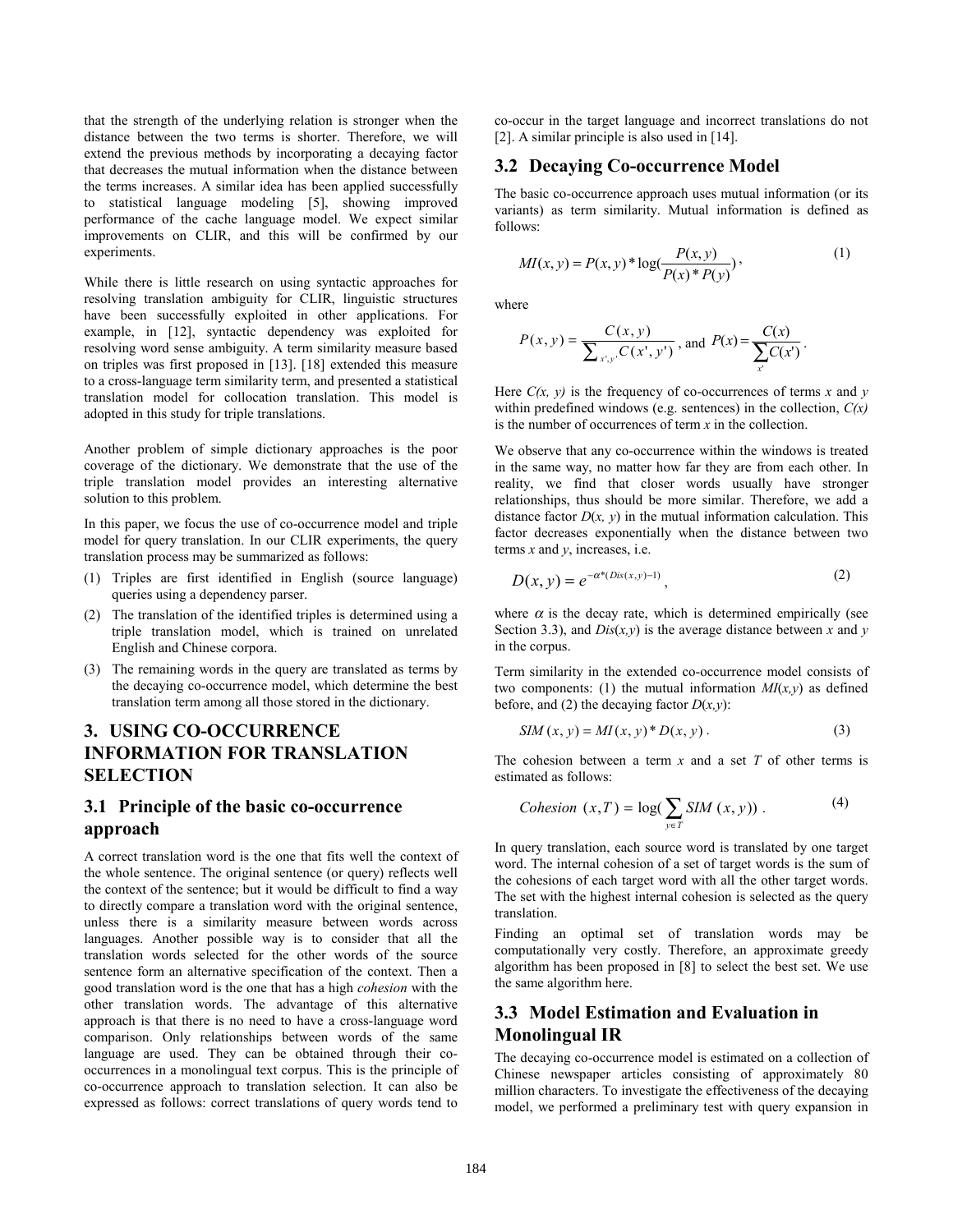that the strength of the underlying relation is stronger when the distance between the two terms is shorter. Therefore, we will extend the previous methods by incorporating a decaying factor that decreases the mutual information when the distance between the terms increases. A similar idea has been applied successfully to statistical language modeling [5], showing improved performance of the cache language model. We expect similar improvements on CLIR, and this will be confirmed by our experiments.

While there is little research on using syntactic approaches for resolving translation ambiguity for CLIR, linguistic structures have been successfully exploited in other applications. For example, in [12], syntactic dependency was exploited for resolving word sense ambiguity. A term similarity measure based on triples was first proposed in [13]. [18] extended this measure to a cross-language term similarity term, and presented a statistical translation model for collocation translation. This model is adopted in this study for triple translations.

Another problem of simple dictionary approaches is the poor coverage of the dictionary. We demonstrate that the use of the triple translation model provides an interesting alternative solution to this problem.

In this paper, we focus the use of co-occurrence model and triple model for query translation. In our CLIR experiments, the query translation process may be summarized as follows:

- (1) Triples are first identified in English (source language) queries using a dependency parser.
- (2) The translation of the identified triples is determined using a triple translation model, which is trained on unrelated English and Chinese corpora.
- (3) The remaining words in the query are translated as terms by the decaying co-occurrence model, which determine the best translation term among all those stored in the dictionary.

# **3. USING CO-OCCURRENCE INFORMATION FOR TRANSLATION SELECTION**

# **3.1 Principle of the basic co-occurrence approach**

A correct translation word is the one that fits well the context of the whole sentence. The original sentence (or query) reflects well the context of the sentence; but it would be difficult to find a way to directly compare a translation word with the original sentence, unless there is a similarity measure between words across languages. Another possible way is to consider that all the translation words selected for the other words of the source sentence form an alternative specification of the context. Then a good translation word is the one that has a high *cohesion* with the other translation words. The advantage of this alternative approach is that there is no need to have a cross-language word comparison. Only relationships between words of the same language are used. They can be obtained through their cooccurrences in a monolingual text corpus. This is the principle of co-occurrence approach to translation selection. It can also be expressed as follows: correct translations of query words tend to

co-occur in the target language and incorrect translations do not [2]. A similar principle is also used in [14].

## **3.2 Decaying Co-occurrence Model**

The basic co-occurrence approach uses mutual information (or its variants) as term similarity. Mutual information is defined as follows:

$$
MI(x, y) = P(x, y) * log(\frac{P(x, y)}{P(x) * P(y)})
$$
\n(1)

where

$$
P(x, y) = \frac{C(x, y)}{\sum_{x', y'} C(x', y')}, \text{ and } P(x) = \frac{C(x)}{\sum_{x'} C(x')}.
$$

Here  $C(x, y)$  is the frequency of co-occurrences of terms *x* and *y* within predefined windows (e.g. sentences) in the collection, *C(x)* is the number of occurrences of term *x* in the collection.

We observe that any co-occurrence within the windows is treated in the same way, no matter how far they are from each other. In reality, we find that closer words usually have stronger relationships, thus should be more similar. Therefore, we add a distance factor  $D(x, y)$  in the mutual information calculation. This factor decreases exponentially when the distance between two terms *x* and *y*, increases, i.e.

$$
D(x, y) = e^{-\alpha^*(Dis(x, y) - 1)},
$$
\n(2)

where  $\alpha$  is the decay rate, which is determined empirically (see Section 3.3), and  $Dis(x, y)$  is the average distance between *x* and *y* in the corpus.

Term similarity in the extended co-occurrence model consists of two components: (1) the mutual information  $MI(x, y)$  as defined before, and (2) the decaying factor  $D(x, y)$ :

$$
SIM(x, y) = MI(x, y) * D(x, y).
$$
 (3)

The cohesion between a term *x* and a set *T* of other terms is estimated as follows:

$$
Cohesion (x, T) = \log(\sum_{y \in T} SIM (x, y)) . \tag{4}
$$

In query translation, each source word is translated by one target word. The internal cohesion of a set of target words is the sum of the cohesions of each target word with all the other target words. The set with the highest internal cohesion is selected as the query translation.

Finding an optimal set of translation words may be computationally very costly. Therefore, an approximate greedy algorithm has been proposed in [8] to select the best set. We use the same algorithm here.

# **3.3 Model Estimation and Evaluation in Monolingual IR**

The decaying co-occurrence model is estimated on a collection of Chinese newspaper articles consisting of approximately 80 million characters. To investigate the effectiveness of the decaying model, we performed a preliminary test with query expansion in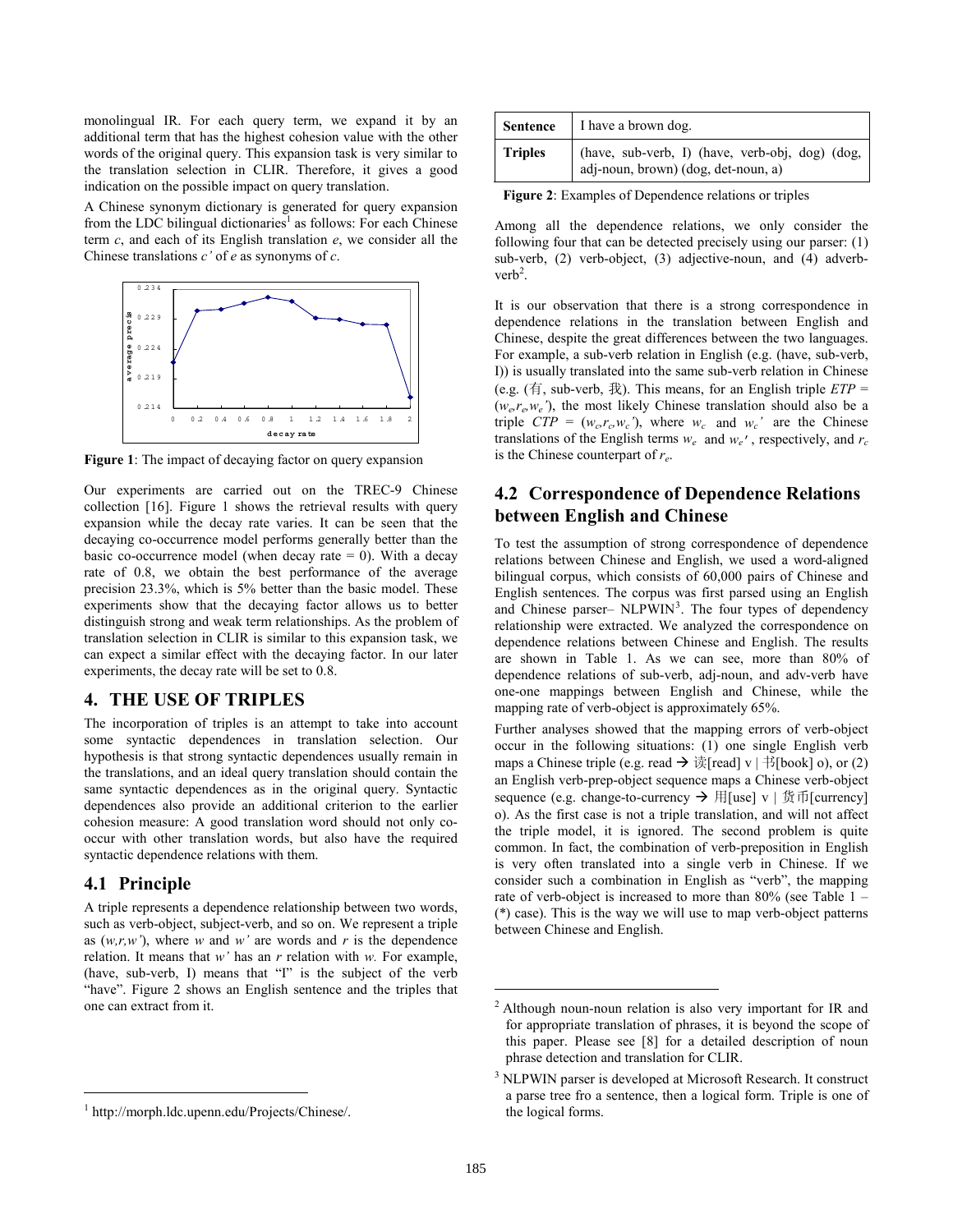monolingual IR. For each query term, we expand it by an additional term that has the highest cohesion value with the other words of the original query. This expansion task is very similar to the translation selection in CLIR. Therefore, it gives a good indication on the possible impact on query translation.

A Chinese synonym dictionary is generated for query expansion from the LDC bilingual dictionaries<sup>1</sup> as follows: For each Chinese term *c*, and each of its English translation *e*, we consider all the Chinese translations *c'* of *e* as synonyms of *c*.



**Figure 1**: The impact of decaying factor on query expansion

Our experiments are carried out on the TREC-9 Chinese collection [16]. Figure 1 shows the retrieval results with query expansion while the decay rate varies. It can be seen that the decaying co-occurrence model performs generally better than the basic co-occurrence model (when decay rate  $= 0$ ). With a decay rate of 0.8, we obtain the best performance of the average precision 23.3%, which is 5% better than the basic model. These experiments show that the decaying factor allows us to better distinguish strong and weak term relationships. As the problem of translation selection in CLIR is similar to this expansion task, we can expect a similar effect with the decaying factor. In our later experiments, the decay rate will be set to 0.8.

#### **4. THE USE OF TRIPLES**

The incorporation of triples is an attempt to take into account some syntactic dependences in translation selection. Our hypothesis is that strong syntactic dependences usually remain in the translations, and an ideal query translation should contain the same syntactic dependences as in the original query. Syntactic dependences also provide an additional criterion to the earlier cohesion measure: A good translation word should not only cooccur with other translation words, but also have the required syntactic dependence relations with them.

#### **4.1 Principle**

l

A triple represents a dependence relationship between two words, such as verb-object, subject-verb, and so on. We represent a triple as  $(w,r,w')$ , where *w* and *w'* are words and *r* is the dependence relation. It means that *w'* has an *r* relation with *w.* For example, (have, sub-verb, I) means that "I" is the subject of the verb "have". Figure 2 shows an English sentence and the triples that one can extract from it.

| <b>Sentence</b> | I have a brown dog.                                                                 |
|-----------------|-------------------------------------------------------------------------------------|
| <b>Triples</b>  | (have, sub-verb, I) (have, verb-obj, dog) (dog, adj-noun, brown) (dog, det-noun, a) |

**Figure 2**: Examples of Dependence relations or triples

Among all the dependence relations, we only consider the following four that can be detected precisely using our parser: (1) sub-verb, (2) verb-object, (3) adjective-noun, and (4) adverb $verb<sup>2</sup>$ .

It is our observation that there is a strong correspondence in dependence relations in the translation between English and Chinese, despite the great differences between the two languages. For example, a sub-verb relation in English (e.g. (have, sub-verb, I)) is usually translated into the same sub-verb relation in Chinese (e.g. (有, sub-verb, 我). This means, for an English triple *ETP* =  $(w_e, r_e, w_e')$ , the most likely Chinese translation should also be a triple  $CTP = (w_c, r_c, w_c)$ , where  $w_c$  and  $w_c$  are the Chinese translations of the English terms  $w_e$  and  $w_e'$ , respectively, and  $r_c$ is the Chinese counterpart of *re*.

# **4.2 Correspondence of Dependence Relations between English and Chinese**

To test the assumption of strong correspondence of dependence relations between Chinese and English, we used a word-aligned bilingual corpus, which consists of 60,000 pairs of Chinese and English sentences. The corpus was first parsed using an English and Chinese parser-  $NLP\overline{W}IN^3$ . The four types of dependency relationship were extracted. We analyzed the correspondence on dependence relations between Chinese and English. The results are shown in Table 1. As we can see, more than 80% of dependence relations of sub-verb, adj-noun, and adv-verb have one-one mappings between English and Chinese, while the mapping rate of verb-object is approximately 65%.

Further analyses showed that the mapping errors of verb-object occur in the following situations: (1) one single English verb maps a Chinese triple (e.g. read  $\rightarrow \frac{\pi}{2}$  [read] v | 书[book] o), or (2) an English verb-prep-object sequence maps a Chinese verb-object sequence (e.g. change-to-currency  $\rightarrow \mathbb{H}$ [use] v | 货币[currency] o). As the first case is not a triple translation, and will not affect the triple model, it is ignored. The second problem is quite common. In fact, the combination of verb-preposition in English is very often translated into a single verb in Chinese. If we consider such a combination in English as "verb", the mapping rate of verb-object is increased to more than 80% (see Table 1 – (\*) case). This is the way we will use to map verb-object patterns between Chinese and English.

 $\overline{a}$ 

<sup>1</sup> http://morph.ldc.upenn.edu/Projects/Chinese/.

<sup>&</sup>lt;sup>2</sup> Although noun-noun relation is also very important for IR and for appropriate translation of phrases, it is beyond the scope of this paper. Please see [8] for a detailed description of noun phrase detection and translation for CLIR.

<sup>&</sup>lt;sup>3</sup> NLPWIN parser is developed at Microsoft Research. It construct a parse tree fro a sentence, then a logical form. Triple is one of the logical forms.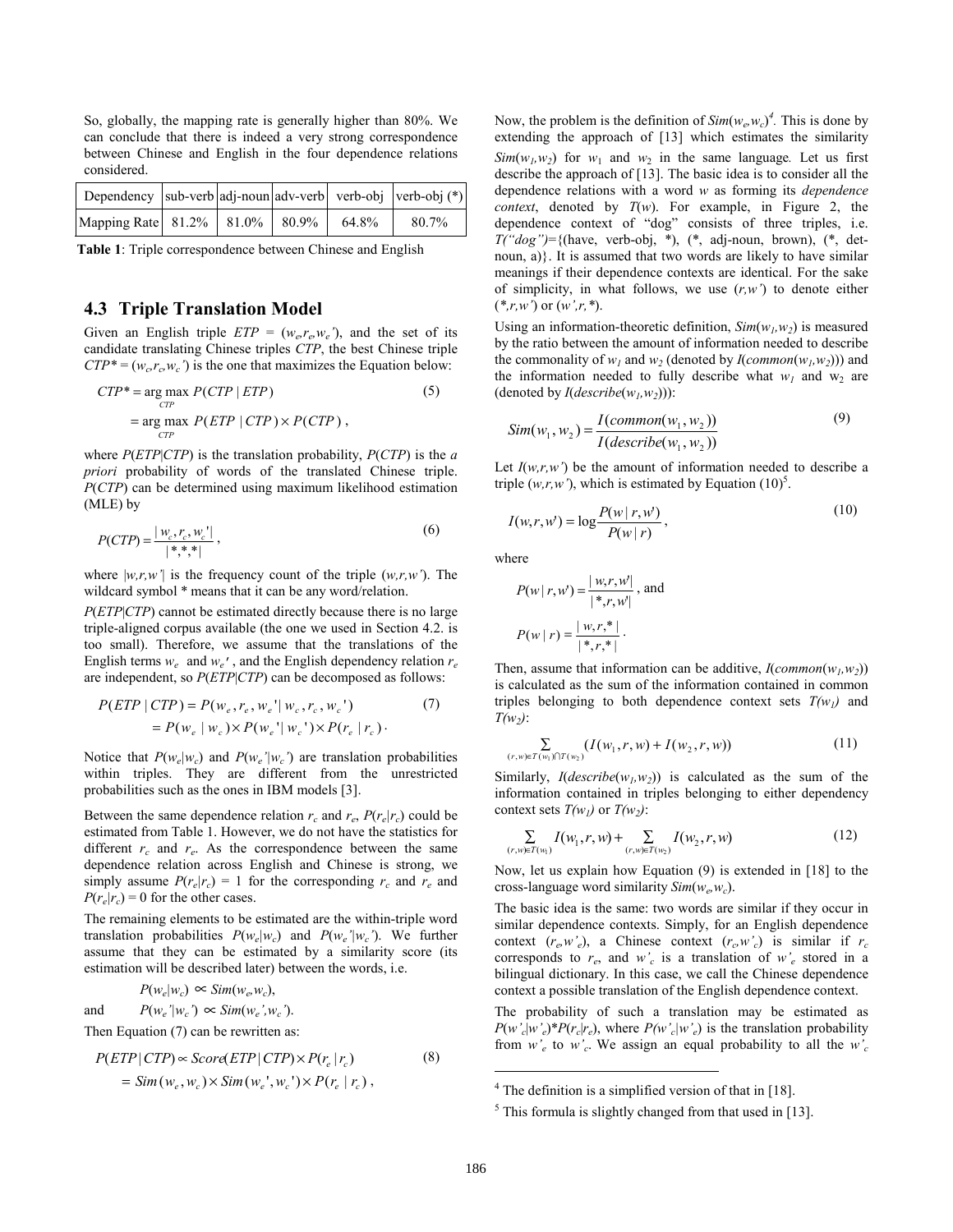So, globally, the mapping rate is generally higher than 80%. We can conclude that there is indeed a very strong correspondence between Chinese and English in the four dependence relations considered.

| Dependency $ sub-verb adj-noun adv-verb  verb-obj  verb-obj (*) $ |  |       |       |
|-------------------------------------------------------------------|--|-------|-------|
| Mapping Rate 81.2% 81.0% 80.9%                                    |  | 64.8% | 80.7% |

**Table 1**: Triple correspondence between Chinese and English

### **4.3 Triple Translation Model**

Given an English triple  $ETP = (w_e, r_e, w_e)$ , and the set of its candidate translating Chinese triples *CTP*, the best Chinese triple  $CTP^* = (w_c, r_c, w_c')$  is the one that maximizes the Equation below:

$$
CTP^* = \underset{CTP}{\text{arg max}} P(CTP | ETP)
$$
(5)  
= 
$$
\underset{CTP}{\text{arg max}} P(ETP | CTP) \times P(CTP)
$$
, (5)

where *P*(*ETP*|*CTP*) is the translation probability, *P*(*CTP*) is the *a priori* probability of words of the translated Chinese triple. *P*(*CTP*) can be determined using maximum likelihood estimation (MLE) by

$$
P(CTP) = \frac{|w_c, r_c, w_c'|}{|*,*,*|},
$$
\n(6)

where  $|w,r,w'|$  is the frequency count of the triple  $(w,r,w')$ . The wildcard symbol \* means that it can be any word/relation.

*P*(*ETP*|*CTP*) cannot be estimated directly because there is no large triple-aligned corpus available (the one we used in Section 4.2. is too small). Therefore, we assume that the translations of the English terms  $w_e$  and  $w_e'$ , and the English dependency relation  $r_e$ are independent, so *P*(*ETP*|*CTP*) can be decomposed as follows:

$$
P(ETP | CTP) = P(w_e, r_e, w_e' | w_c, r_c, w_c')
$$
  
=  $P(w_e | w_c) \times P(w_e' | w_c') \times P(r_e | r_c)$ . (7)

Notice that  $P(w_e|w_c)$  and  $P(w_e'|w_c')$  are translation probabilities within triples. They are different from the unrestricted probabilities such as the ones in IBM models [3].

Between the same dependence relation  $r_c$  and  $r_e$ ,  $P(r_e|r_c)$  could be estimated from Table 1. However, we do not have the statistics for different  $r_c$  and  $r_e$ . As the correspondence between the same dependence relation across English and Chinese is strong, we simply assume  $P(r_e|r_c) = 1$  for the corresponding  $r_c$  and  $r_e$  and  $P(r_e|r_c) = 0$  for the other cases.

The remaining elements to be estimated are the within-triple word translation probabilities  $P(w_e|w_c)$  and  $P(w_e'|w_c')$ . We further assume that they can be estimated by a similarity score (its estimation will be described later) between the words, i.e.

$$
P(w_e|w_c) \propto Sim(w_e, w_c),
$$

and  $P(w_e'|w_c') \propto Sim(w_e', w_c')$ .

Then Equation (7) can be rewritten as:

$$
P(ETP | CTP) \propto Score(ETP | CTP) \times P(r_e | r_c)
$$
  
= Sim(w\_e, w\_c) \times Sim(w\_e', w\_c') \times P(r\_e | r\_c), (8)

Now, the problem is the definition of  $Sim(w_e, w_c)^4$ . This is done by extending the approach of [13] which estimates the similarity  $Sim(w_1, w_2)$  for  $w_1$  and  $w_2$  in the same language. Let us first describe the approach of [13]. The basic idea is to consider all the dependence relations with a word *w* as forming its *dependence context*, denoted by *T*(*w*). For example, in Figure 2, the dependence context of "dog" consists of three triples, i.e.  $T("dog") = \{ (have, verb-obj, *,), (*, adj-noun, brown), (*, det$ noun, a)}. It is assumed that two words are likely to have similar meanings if their dependence contexts are identical. For the sake of simplicity, in what follows, we use (*r,w'*) to denote either (*\*,r,w'*) or (*w',r,\**).

Using an information-theoretic definition,  $Sim(w_1, w_2)$  is measured by the ratio between the amount of information needed to describe the commonality of  $w_1$  and  $w_2$  (denoted by *I*(*common*( $w_1, w_2$ ))) and the information needed to fully describe what  $w_1$  and  $w_2$  are (denoted by  $I(describe(w_1, w_2))$ ):

$$
Sim(w_1, w_2) = \frac{I(common(w_1, w_2))}{I(describe(w_1, w_2))}
$$
\n<sup>(9)</sup>

Let  $I(w,r,w')$  be the amount of information needed to describe a triple  $(w,r,w')$ , which is estimated by Equation  $(10)^5$ .

$$
I(w,r,w') = \log \frac{P(w \mid r, w')}{P(w \mid r)},
$$
\n(10)

where

$$
P(w | r, w') = \frac{|w, r, w'|}{|*, r, w|}, \text{ and}
$$

$$
P(w | r) = \frac{|w, r, *|}{|*, r, *|}.
$$

Then, assume that information can be additive,  $I(common(w_1, w_2))$ is calculated as the sum of the information contained in common triples belonging to both dependence context sets  $T(w_l)$  and *T(w2)*:

$$
\sum_{(r,w)\in T(w_1)\cap T(w_2)} (I(w_1,r,w)+I(w_2,r,w)) \tag{11}
$$

Similarly,  $I(describe(w_1, w_2))$  is calculated as the sum of the information contained in triples belonging to either dependency context sets  $T(w_1)$  or  $T(w_2)$ :

$$
\sum_{(r,w)\in T(w_1)} I(w_1,r,w) + \sum_{(r,w)\in T(w_2)} I(w_2,r,w) \tag{12}
$$

Now, let us explain how Equation (9) is extended in [18] to the cross-language word similarity *Sim*(*we,wc*).

The basic idea is the same: two words are similar if they occur in similar dependence contexts. Simply, for an English dependence context  $(r_e, w'_e)$ , a Chinese context  $(r_c, w'_c)$  is similar if  $r_c$ corresponds to  $r_e$ , and  $w'_c$  is a translation of  $w'_e$  stored in a bilingual dictionary. In this case, we call the Chinese dependence context a possible translation of the English dependence context.

The probability of such a translation may be estimated as  $P(w'_c|w'_e)^*P(r_c|r_e)$ , where  $P(w'_c|w'_e)$  is the translation probability from  $w_e$  to  $w_c$ . We assign an equal probability to all the  $w_c$ 

1

<sup>&</sup>lt;sup>4</sup> The definition is a simplified version of that in [18].

 $<sup>5</sup>$  This formula is slightly changed from that used in [13].</sup>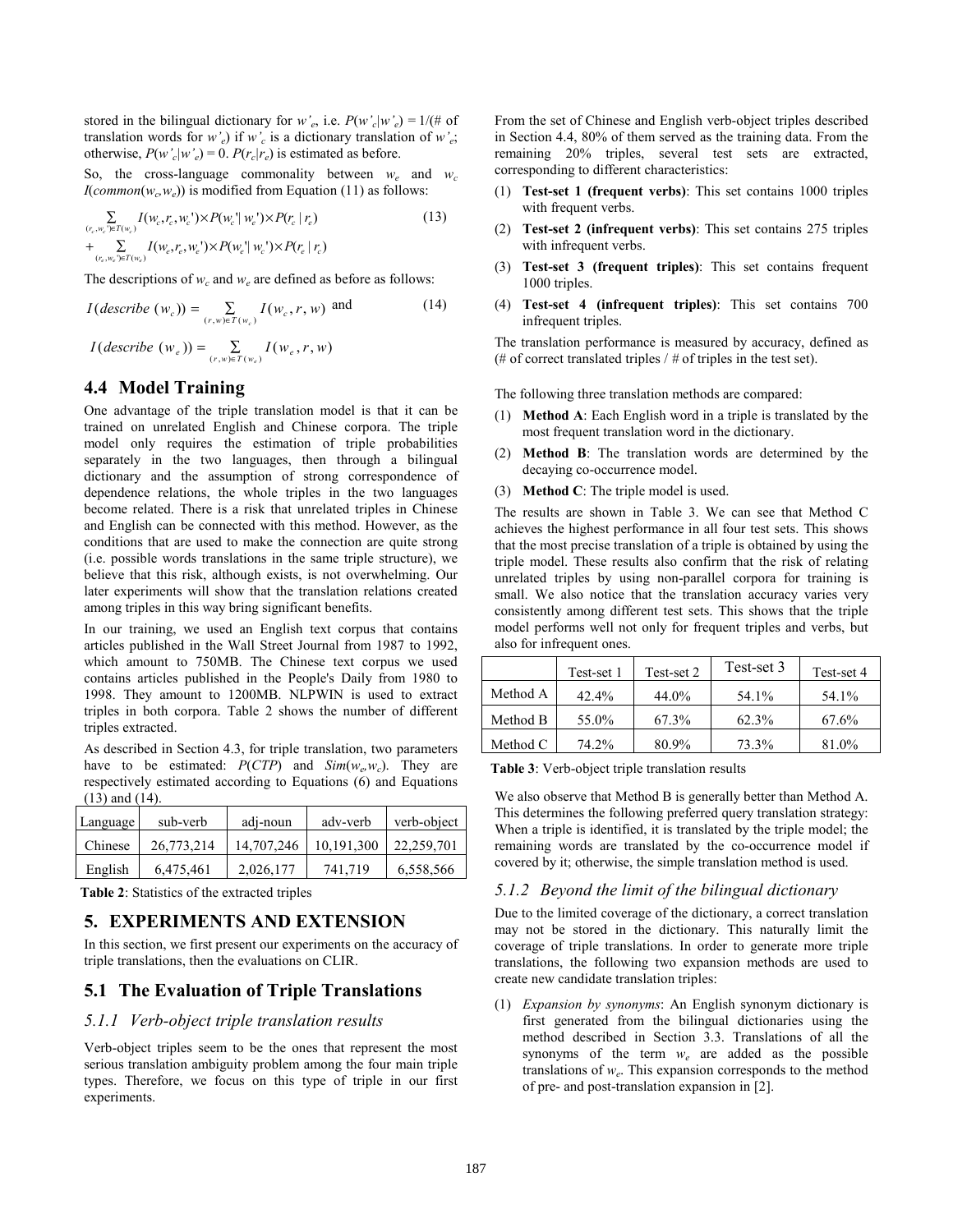stored in the bilingual dictionary for *w'<sub>e</sub>*, i.e.  $P(w'_c|w'_e) = 1/(4 \pi \sigma^2)$ translation words for  $w'_e$ ) if  $w'_c$  is a dictionary translation of  $w'_e$ ; otherwise,  $P(w'_c|w'_e) = 0$ .  $P(r_c|r_e)$  is estimated as before.

So, the cross-language commonality between  $w_e$  and  $w_c$  $I(\text{common}(w_c, w_e))$  is modified from Equation (11) as follows:

$$
\sum_{(r_c, w_c) \in T(w_c)} I(w_c, r_c, w_c') \times P(w_c' | w_e') \times P(r_c | r_e) + \sum_{(r_c, w_c) \in T(w_c)} I(w_c, r_c, w_c') \times P(w_c' | w_c') \times P(r_c | r_c)
$$
\n(13)

The descriptions of  $w_c$  and  $w_e$  are defined as before as follows:

$$
I(descript (wc)) = \sum_{(r,w) \in T(wc)} I(wc, r, w) \text{ and } (14)
$$

$$
I(describe (w_e)) = \sum_{(r,w) \in T(w_e)} I(w_e, r, w)
$$

# **4.4 Model Training**

One advantage of the triple translation model is that it can be trained on unrelated English and Chinese corpora. The triple model only requires the estimation of triple probabilities separately in the two languages, then through a bilingual dictionary and the assumption of strong correspondence of dependence relations, the whole triples in the two languages become related. There is a risk that unrelated triples in Chinese and English can be connected with this method. However, as the conditions that are used to make the connection are quite strong (i.e. possible words translations in the same triple structure), we believe that this risk, although exists, is not overwhelming. Our later experiments will show that the translation relations created among triples in this way bring significant benefits.

In our training, we used an English text corpus that contains articles published in the Wall Street Journal from 1987 to 1992, which amount to 750MB. The Chinese text corpus we used contains articles published in the People's Daily from 1980 to 1998. They amount to 1200MB. NLPWIN is used to extract triples in both corpora. Table 2 shows the number of different triples extracted.

As described in Section 4.3, for triple translation, two parameters have to be estimated:  $P(CTP)$  and  $Sim(w_e, w_c)$ . They are respectively estimated according to Equations (6) and Equations (13) and (14).

| Language | sub-verb   | adj-noun   | adv-verb   | verb-object |
|----------|------------|------------|------------|-------------|
| Chinese  | 26.773.214 | 14,707,246 | 10,191,300 | 22,259,701  |
| English  | 6.475.461  | 2,026,177  | 741,719    | 6,558,566   |

**Table 2**: Statistics of the extracted triples

#### **5. EXPERIMENTS AND EXTENSION**

In this section, we first present our experiments on the accuracy of triple translations, then the evaluations on CLIR.

#### **5.1 The Evaluation of Triple Translations**

#### *5.1.1 Verb-object triple translation results*

Verb-object triples seem to be the ones that represent the most serious translation ambiguity problem among the four main triple types. Therefore, we focus on this type of triple in our first experiments.

From the set of Chinese and English verb-object triples described in Section 4.4, 80% of them served as the training data. From the remaining 20% triples, several test sets are extracted, corresponding to different characteristics:

- (1) **Test-set 1 (frequent verbs)**: This set contains 1000 triples with frequent verbs.
- (2) **Test-set 2 (infrequent verbs)**: This set contains 275 triples with infrequent verbs.
- (3) **Test-set 3 (frequent triples)**: This set contains frequent 1000 triples.
- (4) **Test-set 4 (infrequent triples)**: This set contains 700 infrequent triples.

The translation performance is measured by accuracy, defined as (# of correct translated triples / *#* of triples in the test set).

The following three translation methods are compared:

- (1) **Method A**: Each English word in a triple is translated by the most frequent translation word in the dictionary.
- (2) **Method B**: The translation words are determined by the decaying co-occurrence model.
- (3) **Method C**: The triple model is used.

The results are shown in Table 3. We can see that Method C achieves the highest performance in all four test sets. This shows that the most precise translation of a triple is obtained by using the triple model. These results also confirm that the risk of relating unrelated triples by using non-parallel corpora for training is small. We also notice that the translation accuracy varies very consistently among different test sets. This shows that the triple model performs well not only for frequent triples and verbs, but also for infrequent ones.

|          | Test-set 1 | Test-set 2 | Test-set 3 | Test-set 4 |
|----------|------------|------------|------------|------------|
| Method A | $42.4\%$   | 44.0%      | 54.1%      | 54.1%      |
| Method B | 55.0%      | 67.3%      | 62.3%      | 67.6%      |
| Method C | 74.2%      | 80.9%      | 73.3%      | 81.0%      |

**Table 3**: Verb-object triple translation results

We also observe that Method B is generally better than Method A. This determines the following preferred query translation strategy: When a triple is identified, it is translated by the triple model; the remaining words are translated by the co-occurrence model if covered by it; otherwise, the simple translation method is used.

#### *5.1.2 Beyond the limit of the bilingual dictionary*

Due to the limited coverage of the dictionary, a correct translation may not be stored in the dictionary. This naturally limit the coverage of triple translations. In order to generate more triple translations, the following two expansion methods are used to create new candidate translation triples:

(1) *Expansion by synonyms*: An English synonym dictionary is first generated from the bilingual dictionaries using the method described in Section 3.3. Translations of all the synonyms of the term *we* are added as the possible translations of *we*. This expansion corresponds to the method of pre- and post-translation expansion in [2].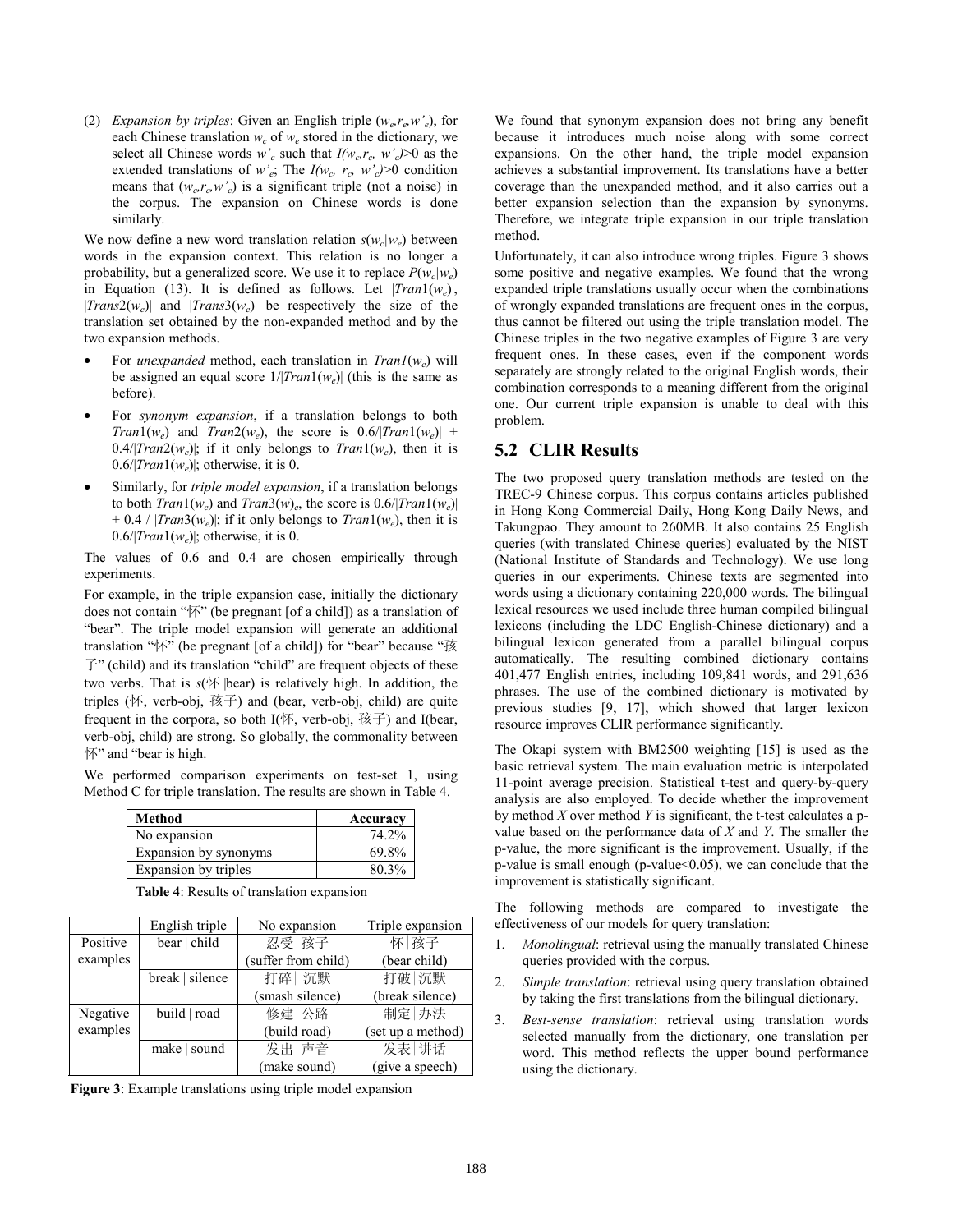(2) *Expansion by triples*: Given an English triple  $(w_e r_e w_e)$ , for each Chinese translation  $w_c$  of  $w_e$  stored in the dictionary, we select all Chinese words  $w_c$  such that  $I(w_c, r_c, w_c) > 0$  as the extended translations of *w*<sup>2</sup><sub>e</sub>; The  $I(w_c, r_c, w_c) > 0$  condition means that  $(w_c, r_c, w_c)$  is a significant triple (not a noise) in the corpus. The expansion on Chinese words is done similarly.

We now define a new word translation relation  $s(w_c|w_e)$  between words in the expansion context. This relation is no longer a probability, but a generalized score. We use it to replace  $P(w_c|w_e)$ in Equation (13). It is defined as follows. Let |*Tran*1(*we*)|,  $|Trans2(w_e)|$  and  $|Trans3(w_e)|$  be respectively the size of the translation set obtained by the non-expanded method and by the two expansion methods.

- For *unexpanded* method, each translation in *Tran1*(*we*) will be assigned an equal score  $1/|Tran1(w_e)|$  (this is the same as before).
- For *synonym expansion*, if a translation belongs to both *Tran*1(*w*<sub>c</sub>) and *Tran*2(*w*<sub>c</sub>), the score is  $0.6/|Tran1(w_{c})|$  +  $0.4/|Tran2(w_e)|$ ; if it only belongs to  $Tran1(w_e)$ , then it is  $0.6/|Tran1(w_e)|$ ; otherwise, it is 0.
- Similarly, for *triple model expansion*, if a translation belongs to both  $Tran1(w_e)$  and  $Tran3(w_e)$ , the score is  $0.6/|Tran1(w_e)|$  $+ 0.4 / |Tran3(w_e)|$ ; if it only belongs to *Tran*1( $w_e$ ), then it is  $0.6/|Tran1(w_e)|$ ; otherwise, it is 0.

The values of 0.6 and 0.4 are chosen empirically through experiments.

For example, in the triple expansion case, initially the dictionary does not contain "怀" (be pregnant [of a child]) as a translation of "bear". The triple model expansion will generate an additional translation "怀" (be pregnant [of a child]) for "bear" because "孩  $\vec{\tau}$ " (child) and its translation "child" are frequent objects of these two verbs. That is *s*(怀 |bear) is relatively high. In addition, the triples (怀, verb-obj, 孩子) and (bear, verb-obj, child) are quite frequent in the corpora, so both  $I(\mathbb{K},$  verb-obj,  $\mathbb{K}\mathbb{F}$ ) and I(bear, verb-obj, child) are strong. So globally, the commonality between 怀" and "bear is high.

We performed comparison experiments on test-set 1, using Method C for triple translation. The results are shown in Table 4.

| Method                | Accuracy |
|-----------------------|----------|
| No expansion          | 74.2%    |
| Expansion by synonyms | 69.8%    |
| Expansion by triples  | 80.3%    |

**Table 4**: Results of translation expansion

|          | English triple  | No expansion        | Triple expansion  |
|----------|-----------------|---------------------|-------------------|
| Positive | bear   child    | 忍受 孩子               | 怀 孩子              |
| examples |                 | (suffer from child) | (bear child)      |
|          | break   silence | 打碎 沉默               | 打破 沉默             |
|          |                 | (smash silence)     | (break silence)   |
| Negative | build   road    | 修建 公路               | 制定 办法             |
| examples |                 | (build road)        | (set up a method) |
|          | make   sound    | 发出 声音               | 发表 讲话             |
|          |                 | (make sound)        | (give a speech)   |

**Figure 3**: Example translations using triple model expansion

We found that synonym expansion does not bring any benefit because it introduces much noise along with some correct expansions. On the other hand, the triple model expansion achieves a substantial improvement. Its translations have a better coverage than the unexpanded method, and it also carries out a better expansion selection than the expansion by synonyms. Therefore, we integrate triple expansion in our triple translation method.

Unfortunately, it can also introduce wrong triples. Figure 3 shows some positive and negative examples. We found that the wrong expanded triple translations usually occur when the combinations of wrongly expanded translations are frequent ones in the corpus, thus cannot be filtered out using the triple translation model. The Chinese triples in the two negative examples of Figure 3 are very frequent ones. In these cases, even if the component words separately are strongly related to the original English words, their combination corresponds to a meaning different from the original one. Our current triple expansion is unable to deal with this problem.

### **5.2 CLIR Results**

The two proposed query translation methods are tested on the TREC-9 Chinese corpus. This corpus contains articles published in Hong Kong Commercial Daily, Hong Kong Daily News, and Takungpao. They amount to 260MB. It also contains 25 English queries (with translated Chinese queries) evaluated by the NIST (National Institute of Standards and Technology). We use long queries in our experiments. Chinese texts are segmented into words using a dictionary containing 220,000 words. The bilingual lexical resources we used include three human compiled bilingual lexicons (including the LDC English-Chinese dictionary) and a bilingual lexicon generated from a parallel bilingual corpus automatically. The resulting combined dictionary contains 401,477 English entries, including 109,841 words, and 291,636 phrases. The use of the combined dictionary is motivated by previous studies [9, 17], which showed that larger lexicon resource improves CLIR performance significantly.

The Okapi system with BM2500 weighting [15] is used as the basic retrieval system. The main evaluation metric is interpolated 11-point average precision. Statistical t-test and query-by-query analysis are also employed. To decide whether the improvement by method *X* over method *Y* is significant, the t-test calculates a pvalue based on the performance data of *X* and *Y*. The smaller the p-value, the more significant is the improvement. Usually, if the  $p$ -value is small enough ( $p$ -value $\leq 0.05$ ), we can conclude that the improvement is statistically significant.

The following methods are compared to investigate the effectiveness of our models for query translation:

- 1. *Monolingual*: retrieval using the manually translated Chinese queries provided with the corpus.
- 2. *Simple translation*: retrieval using query translation obtained by taking the first translations from the bilingual dictionary.
- 3. *Best-sense translation*: retrieval using translation words selected manually from the dictionary, one translation per word. This method reflects the upper bound performance using the dictionary.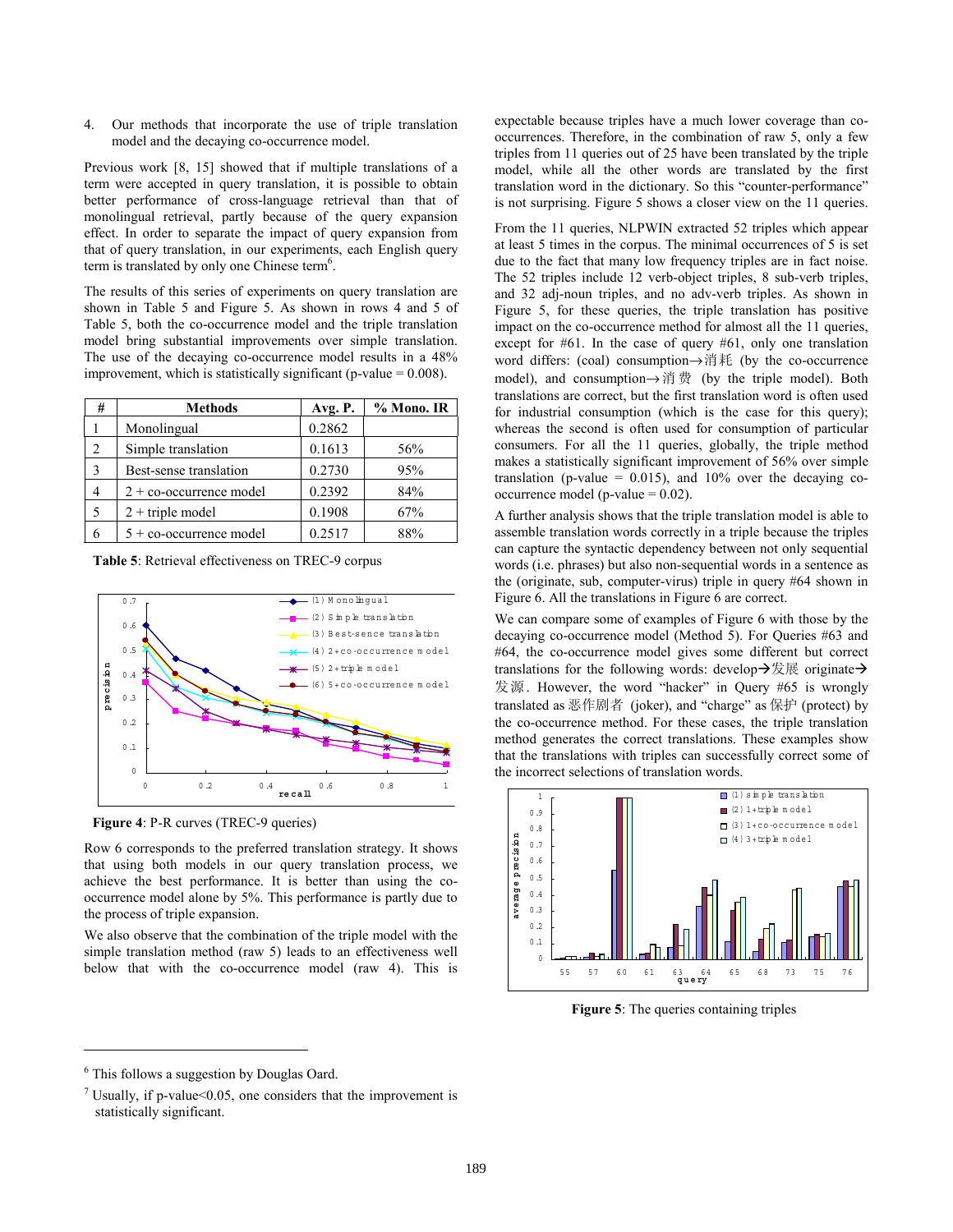4. Our methods that incorporate the use of triple translation model and the decaying co-occurrence model.

Previous work [8, 15] showed that if multiple translations of a term were accepted in query translation, it is possible to obtain better performance of cross-language retrieval than that of monolingual retrieval, partly because of the query expansion effect. In order to separate the impact of query expansion from that of query translation, in our experiments, each English query term is translated by only one Chinese term<sup>6</sup>.

The results of this series of experiments on query translation are shown in Table 5 and Figure 5. As shown in rows 4 and 5 of Table 5, both the co-occurrence model and the triple translation model bring substantial improvements over simple translation. The use of the decaying co-occurrence model results in a 48% improvement, which is statistically significant (p-value  $= 0.008$ ).

| #              | <b>Methods</b>                   | Avg. P. | $%$ Mono. IR |
|----------------|----------------------------------|---------|--------------|
|                | Monolingual                      | 0.2862  |              |
| $\overline{c}$ | Simple translation               | 0.1613  | 56%          |
| 3              | Best-sense translation           | 0.2730  | 95%          |
| 4              | $2 + \text{co-occurrence model}$ | 0.2392  | 84%          |
| 5              | $2 +$ triple model               | 0.1908  | 67%          |
| 6              | $5 +$ co-occurrence model        | 0.2517  | 88%          |

**Table 5**: Retrieval effectiveness on TREC-9 corpus



**Figure 4**: P-R curves (TREC-9 queries)

Row 6 corresponds to the preferred translation strategy. It shows that using both models in our query translation process, we achieve the best performance. It is better than using the cooccurrence model alone by 5%. This performance is partly due to the process of triple expansion.

We also observe that the combination of the triple model with the simple translation method (raw 5) leads to an effectiveness well below that with the co-occurrence model (raw 4). This is expectable because triples have a much lower coverage than cooccurrences. Therefore, in the combination of raw 5, only a few triples from 11 queries out of 25 have been translated by the triple model, while all the other words are translated by the first translation word in the dictionary. So this "counter-performance" is not surprising. Figure 5 shows a closer view on the 11 queries.

From the 11 queries, NLPWIN extracted 52 triples which appear at least 5 times in the corpus. The minimal occurrences of 5 is set due to the fact that many low frequency triples are in fact noise. The 52 triples include 12 verb-object triples, 8 sub-verb triples, and 32 adj-noun triples, and no adv-verb triples. As shown in Figure 5, for these queries, the triple translation has positive impact on the co-occurrence method for almost all the 11 queries, except for #61. In the case of query #61, only one translation word differs: (coal) consumption→消耗 (by the co-occurrence model), and consumption→消费 (by the triple model). Both translations are correct, but the first translation word is often used for industrial consumption (which is the case for this query); whereas the second is often used for consumption of particular consumers. For all the 11 queries, globally, the triple method makes a statistically significant improvement of 56% over simple translation (p-value =  $0.015$ ), and 10% over the decaying cooccurrence model (p-value  $= 0.02$ ).

A further analysis shows that the triple translation model is able to assemble translation words correctly in a triple because the triples can capture the syntactic dependency between not only sequential words (i.e. phrases) but also non-sequential words in a sentence as the (originate, sub, computer-virus) triple in query #64 shown in Figure 6. All the translations in Figure 6 are correct.

We can compare some of examples of Figure 6 with those by the decaying co-occurrence model (Method 5). For Queries #63 and #64, the co-occurrence model gives some different but correct translations for the following words: develop $\rightarrow \mathbb{R}$  are originate  $\rightarrow$ 发源. However, the word "hacker" in Query #65 is wrongly translated as 恶作剧者 (joker), and "charge" as 保护 (protect) by the co-occurrence method. For these cases, the triple translation method generates the correct translations. These examples show that the translations with triples can successfully correct some of the incorrect selections of translation words.



**Figure 5**: The queries containing triples

 $\overline{a}$ 

<sup>&</sup>lt;sup>6</sup> This follows a suggestion by Douglas Oard.

<sup>&</sup>lt;sup>7</sup> Usually, if p-value< $0.05$ , one considers that the improvement is statistically significant.